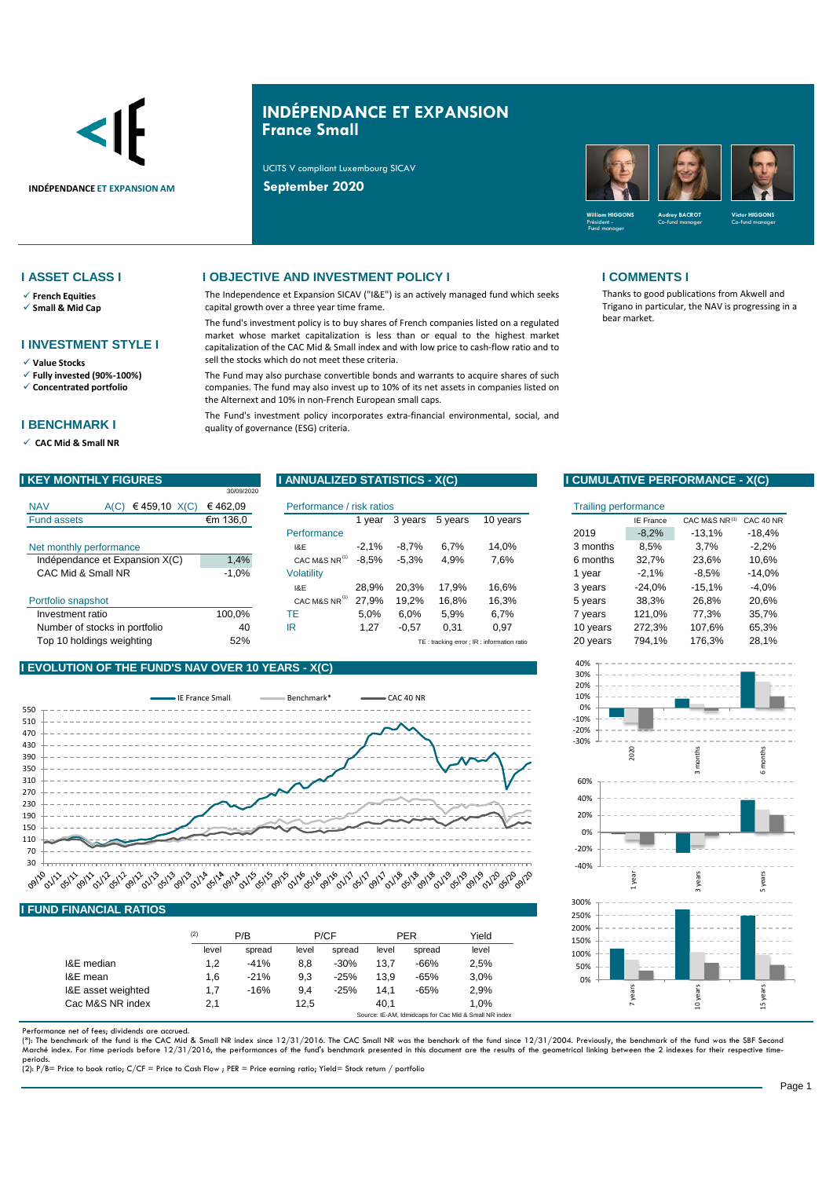

# **INDÉPENDANCE ET EXPANSION France Small**

The Independence et Expansion SICAV ("I&E") is an actively managed fund which seeks

The fund's investment policy is to buy shares of French companies listed on a regulated market whose market capitalization is less than or equal to the highest market capitalization of the CAC Mid & Small index and with low price to cash-flow ratio and to

The Fund may also purchase convertible bonds and warrants to acquire shares of such companies. The fund may also invest up to 10% of its net assets in companies listed on

The Fund's investment policy incorporates extra-financial environmental, social, and

UCITS V compliant Luxembourg SICAV

capital growth over a three year time frame.

sell the stocks which do not meet these criteria.

the Alternext and 10% in non-French European small caps.



### **I ASSET CLASS I I OBJECTIVE AND INVESTMENT POLICY I I COMMENTS I**

- ✓ **French Equities**
- ✓ **Small & Mid Cap**

# **I INVESTMENT STYLE I**

- ✓ **Value Stocks**
- ✓ **Fully invested (90%-100%)**
- ✓ **Concentrated portfolio**

### **I BENCHMARK I**

✓ **CAC Mid & Small NR** 

|                                        |                               | 30/09/2020 |                           |         |         |         |                                           |          |                  |               |           |
|----------------------------------------|-------------------------------|------------|---------------------------|---------|---------|---------|-------------------------------------------|----------|------------------|---------------|-----------|
| <b>NAV</b>                             | €459,10 X(C)<br>A(C)          | €462.09    | Performance / risk ratios |         |         |         | Trailing performance                      |          |                  |               |           |
| <b>Fund assets</b>                     |                               | €m 136,0   |                           | vear    | 3 years | 5 years | 10 years                                  |          | <b>IE France</b> | CAC M&S NR(1) | CAC 40 NR |
|                                        |                               |            | Performance               |         |         |         |                                           | 2019     | $-8.2%$          | $-13.1%$      | $-18,4%$  |
|                                        | Net monthly performance       |            | 1&E                       | $-2.1%$ | $-8.7%$ | 6.7%    | 14,0%                                     | 3 months | 8,5%             | 3,7%          | $-2,2%$   |
| 1,4%<br>Indépendance et Expansion X(C) |                               |            | CAC M&S NR <sup>(1)</sup> | $-8.5%$ | $-5.3%$ | 4,9%    | 7,6%                                      | 6 months | 32.7%            | 23,6%         | 10,6%     |
|                                        | CAC Mid & Small NR            | $-1,0%$    | <b>Volatility</b>         |         |         |         |                                           | vear     | $-2,1%$          | $-8,5%$       | $-14,0%$  |
|                                        |                               |            | I&E                       | 28.9%   | 20.3%   | 17.9%   | 16.6%                                     | 3 years  | $-24.0%$         | $-15,1%$      | $-4,0%$   |
| Portfolio snapshot                     |                               |            | CAC M&S NR <sup>(1)</sup> | 27.9%   | 19.2%   | 16.8%   | 16,3%                                     | 5 years  | 38,3%            | 26,8%         | 20,6%     |
| Investment ratio                       |                               | 100.0%     | ТE                        | 5.0%    | 6,0%    | 5,9%    | 6.7%                                      | vears    | 121.0%           | 77.3%         | 35,7%     |
|                                        | Number of stocks in portfolio | 40         | IR                        | 1,27    | $-0,57$ | 0,31    | 0,97                                      | 10 years | 272,3%           | 107,6%        | 65,3%     |
| Top 10 holdinas weiahtina              |                               | 52%        |                           |         |         |         | TE: tracking error: IR: information ratio | 20 years | 794.1%           | 176.3%        | 28.1%     |

quality of governance (ESG) criteria.

### **I EVOLUTION OF THE FUND'S NAV OVER 10 YEARS - X(C)**



### **I FUND FINANCIAL RATIOS**

|                    | (2)   | P/B    |       | P/CF   |       | <b>PER</b> | Yield                                                 |  |
|--------------------|-------|--------|-------|--------|-------|------------|-------------------------------------------------------|--|
|                    | level | spread | level | spread | level | spread     | level                                                 |  |
| I&E median         | 1,2   | $-41%$ | 8.8   | $-30%$ | 13.7  | $-66%$     | 2,5%                                                  |  |
| I&E mean           | 1,6   | $-21%$ | 9.3   | $-25%$ | 13.9  | $-65%$     | 3.0%                                                  |  |
| I&E asset weighted | 1.7   | $-16%$ | 9.4   | $-25%$ | 14.1  | $-65%$     | 2,9%                                                  |  |
| Cac M&S NR index   | 2.1   |        | 12.5  |        | 40.1  |            | 1.0%                                                  |  |
|                    |       |        |       |        |       |            | Source: IE-AM, Idmidcaps for Cac Mid & Small NR index |  |

Performance net of fees; dividends are accrued.

(\*): The benchmark of the fund is the CAC Mid & Small NR index since 12/31/2016. The CAC Small NR was the benchark of the fund since 12/31/2004. Previously, the benchmark of the fund was the SBF Seconc<br>Marché index. For ti

periods. (2): P/B= Price to book ratio; C/CF = Price to Cash Flow ; PER = Price earning ratio; Yield= Stock return / portfolio

Thanks to good publications from Akwell and Trigano in particular, the NAV is progressing in a bear market.



|                   | Performance / risk ratios |         |         |         |                                           | <b>Trailing performance</b> |          |                  |               |           |
|-------------------|---------------------------|---------|---------|---------|-------------------------------------------|-----------------------------|----------|------------------|---------------|-----------|
|                   |                           | 1 vear  | 3 years | 5 years | 10 years                                  |                             |          | <b>IE France</b> | CAC M&S NR(1) | CAC 40 NR |
|                   | Performance               |         |         |         |                                           | 2019                        |          | $-8.2%$          | $-13.1%$      | $-18.4%$  |
| 1&E               |                           | $-2.1%$ | $-8.7%$ | 6,7%    | 14,0%                                     |                             | 3 months | 8,5%             | 3,7%          | $-2,2%$   |
|                   | CAC M&S NR <sup>(1)</sup> | $-8.5%$ | $-5,3%$ | 4,9%    | 7,6%                                      |                             | 6 months | 32,7%            | 23,6%         | 10,6%     |
| <b>Volatility</b> |                           |         |         |         |                                           |                             | 1 vear   | $-2.1%$          | $-8,5%$       | $-14,0%$  |
| I&E               |                           | 28.9%   | 20.3%   | 17.9%   | 16,6%                                     |                             | 3 years  | $-24.0%$         | $-15.1%$      | $-4.0%$   |
|                   | CAC M&S NR <sup>(1)</sup> | 27,9%   | 19.2%   | 16,8%   | 16,3%                                     |                             | 5 years  | 38,3%            | 26,8%         | 20,6%     |
| TE                |                           | 5.0%    | 6,0%    | 5,9%    | 6,7%                                      |                             | 7 years  | 121,0%           | 77,3%         | 35,7%     |
| IR                |                           | 1,27    | $-0,57$ | 0,31    | 0.97                                      |                             | 10 years | 272.3%           | 107.6%        | 65,3%     |
|                   |                           |         |         |         | TE: tracking error: IR: information ratio |                             | 20 years | 794.1%           | 176,3%        | 28,1%     |